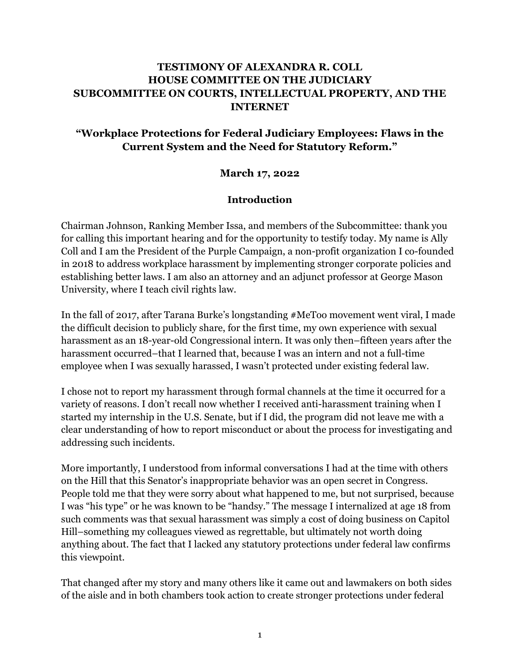# **TESTIMONY OF ALEXANDRA R. COLL HOUSE COMMITTEE ON THE JUDICIARY SUBCOMMITTEE ON COURTS, INTELLECTUAL PROPERTY, AND THE INTERNET**

# **"Workplace Protections for Federal Judiciary Employees: Flaws in the Current System and the Need for Statutory Reform."**

### **March 17, 2022**

#### **Introduction**

Chairman Johnson, Ranking Member Issa, and members of the Subcommittee: thank you for calling this important hearing and for the opportunity to testify today. My name is Ally Coll and I am the President of the Purple Campaign, a non-profit organization I co-founded in 2018 to address workplace harassment by implementing stronger corporate policies and establishing better laws. I am also an attorney and an adjunct professor at George Mason University, where I teach civil rights law.

In the fall of 2017, after Tarana Burke's longstanding #MeToo movement went viral, I made the difficult decision to publicly share, for the first time, my own experience with sexual harassment as an 18-year-old Congressional intern. It was only then–fifteen years after the harassment occurred–that I learned that, because I was an intern and not a full-time employee when I was sexually harassed, I wasn't protected under existing federal law.

I chose not to report my harassment through formal channels at the time it occurred for a variety of reasons. I don't recall now whether I received anti-harassment training when I started my internship in the U.S. Senate, but if I did, the program did not leave me with a clear understanding of how to report misconduct or about the process for investigating and addressing such incidents.

More importantly, I understood from informal conversations I had at the time with others on the Hill that this Senator's inappropriate behavior was an open secret in Congress. People told me that they were sorry about what happened to me, but not surprised, because I was "his type" or he was known to be "handsy." The message I internalized at age 18 from such comments was that sexual harassment was simply a cost of doing business on Capitol Hill–something my colleagues viewed as regrettable, but ultimately not worth doing anything about. The fact that I lacked any statutory protections under federal law confirms this viewpoint.

That changed after my story and many others like it came out and lawmakers on both sides of the aisle and in both chambers took action to create stronger protections under federal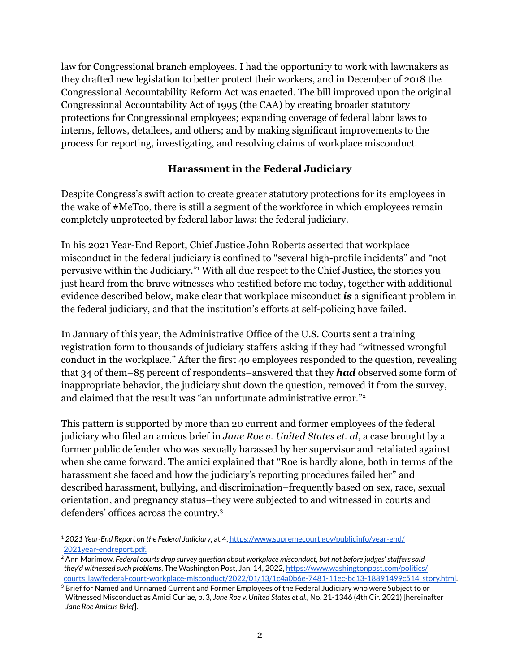law for Congressional branch employees. I had the opportunity to work with lawmakers as they drafted new legislation to better protect their workers, and in December of 2018 the Congressional Accountability Reform Act was enacted. The bill improved upon the original Congressional Accountability Act of 1995 (the CAA) by creating broader statutory protections for Congressional employees; expanding coverage of federal labor laws to interns, fellows, detailees, and others; and by making significant improvements to the process for reporting, investigating, and resolving claims of workplace misconduct.

### **Harassment in the Federal Judiciary**

Despite Congress's swift action to create greater statutory protections for its employees in the wake of #MeToo, there is still a segment of the workforce in which employees remain completely unprotected by federal labor laws: the federal judiciary.

In his 2021 Year-End Report, Chief Justice John Roberts asserted that workplace misconduct in the federal judiciary is confined to "several high-profile incidents" and "not pervasive within the Judiciary." <sup>1</sup> With all due respect to the Chief Justice, the stories you just heard from the brave witnesses who testified before me today, together with additional evidence described below, make clear that workplace misconduct *is* a significant problem in the federal judiciary, and that the institution's efforts at self-policing have failed.

In January of this year, the Administrative Office of the U.S. Courts sent a training registration form to thousands of judiciary staffers asking if they had "witnessed wrongful conduct in the workplace." After the first 40 employees responded to the question, revealing that 34 of them–85 percent of respondents–answered that they *had* observed some form of inappropriate behavior, the judiciary shut down the question, removed it from the survey, and claimed that the result was "an unfortunate administrative error." 2

This pattern is supported by more than 20 current and former employees of the federal judiciary who filed an amicus brief in *Jane Roe v. United States et. al*, a case brought by a former public defender who was sexually harassed by her supervisor and retaliated against when she came forward. The amici explained that "Roe is hardly alone, both in terms of the harassment she faced and how the judiciary's reporting procedures failed her" and described harassment, bullying, and discrimination–frequently based on sex, race, sexual orientation, and pregnancy status–they were subjected to and witnessed in courts and defenders' offices across the country. 3

<sup>1</sup> *2021 Year-End Report on the Federal Judiciary*, at 4, [https://www.supremecourt.gov/publicinfo/year-end/](https://www.supremecourt.gov/publicinfo/year-end/2021year-endreport.pdf) [2021year-endreport.pdf.](https://www.supremecourt.gov/publicinfo/year-end/2021year-endreport.pdf)

<sup>2</sup> Ann Marimow, *Federal courts drop survey question about workplace misconduct, but not before judges'stafferssaid they'd witnessed such problems*, The Washington Post, Jan. 14, 2022, [https://www.washingtonpost.com/politics/](https://www.washingtonpost.com/politics/courts_law/federal-court-workplace-misconduct/2022/01/13/1c4a0b6e-7481-11ec-bc13-18891499c514_story.html) [courts\\_law/federal-court-workplace-misconduct/2022/01/13/1c4a0b6e-7481-11ec-bc13-18891499c514\\_story.html](https://www.washingtonpost.com/politics/courts_law/federal-court-workplace-misconduct/2022/01/13/1c4a0b6e-7481-11ec-bc13-18891499c514_story.html).

<sup>&</sup>lt;sup>3</sup> Brief for Named and Unnamed Current and Former Employees of the Federal Judiciary who were Subject to or Witnessed Misconduct as Amici Curiae, p. 3, *Jane Roe v. United States et al.*, No. 21-1346 (4th Cir. 2021) [hereinafter *Jane Roe Amicus Brief*].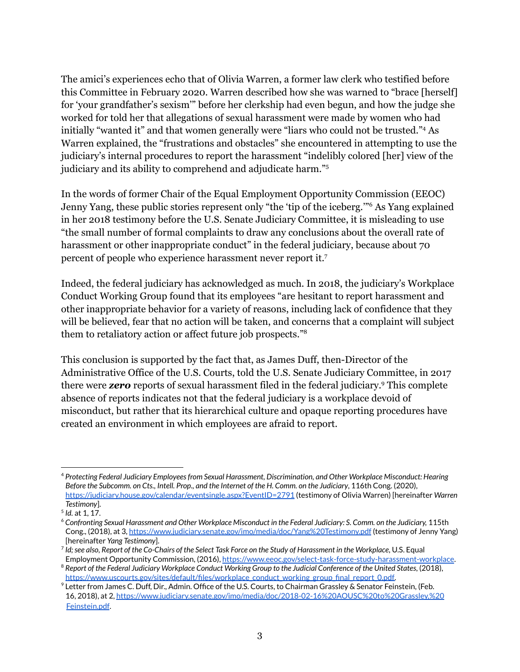The amici's experiences echo that of Olivia Warren, a former law clerk who testified before this Committee in February 2020. Warren described how she was warned to "brace [herself] for 'your grandfather's sexism'" before her clerkship had even begun, and how the judge she worked for told her that allegations of sexual harassment were made by women who had initially "wanted it" and that women generally were "liars who could not be trusted." <sup>4</sup> As Warren explained, the "frustrations and obstacles" she encountered in attempting to use the judiciary's internal procedures to report the harassment "indelibly colored [her] view of the judiciary and its ability to comprehend and adjudicate harm." 5

In the words of former Chair of the Equal Employment Opportunity Commission (EEOC) Jenny Yang, these public stories represent only "the 'tip of the iceberg.'" <sup>6</sup> As Yang explained in her 2018 testimony before the U.S. Senate Judiciary Committee, it is misleading to use "the small number of formal complaints to draw any conclusions about the overall rate of harassment or other inappropriate conduct" in the federal judiciary, because about 70 percent of people who experience harassment never report it. 7

Indeed, the federal judiciary has acknowledged as much. In 2018, the judiciary's Workplace Conduct Working Group found that its employees "are hesitant to report harassment and other inappropriate behavior for a variety of reasons, including lack of confidence that they will be believed, fear that no action will be taken, and concerns that a complaint will subject them to retaliatory action or affect future job prospects." 8

This conclusion is supported by the fact that, as James Duff, then-Director of the Administrative Office of the U.S. Courts, told the U.S. Senate Judiciary Committee, in 2017 there were *zero* reports of sexual harassment filed in the federal judiciary. <sup>9</sup> This complete absence of reports indicates not that the federal judiciary is a workplace devoid of misconduct, but rather that its hierarchical culture and opaque reporting procedures have created an environment in which employees are afraid to report.

<sup>4</sup> *Protecting Federal Judiciary Employeesfrom Sexual Harassment, Discrimination, and Other Workplace Misconduct: Hearing* Before the Subcomm. on Cts., Intell. Prop., and the Internet of the H. Comm. on the Judiciary, 116th Cong. (2020), <https://judiciary.house.gov/calendar/eventsingle.aspx?EventID=2791> (testimony of Olivia Warren) [hereinafter *Warren Testimony*].

<sup>5</sup> *Id.* at 1, 17.

<sup>&</sup>lt;sup>6</sup> Confronting Sexual Harassment and Other Workplace Misconduct in the Federal Judiciary: S. Comm. on the Judiciary, 115th Cong., (2018), at 3, <https://www.judiciary.senate.gov/imo/media/doc/Yang%20Testimony.pdf> (testimony of Jenny Yang) [hereinafter *Yang Testimony*].

<sup>&</sup>lt;sup>7</sup> Id; see also, Report of the Co-Chairs of the Select Task Force on the Study of Harassment in the Workplace, U.S. Equal Employment Opportunity Commission, (2016), [https://www.eeoc.gov/select-task-force-study-harassment-workplace.](https://www.eeoc.gov/select-task-force-study-harassment-workplace)

<sup>&</sup>lt;sup>8</sup> Report of the Federal Judiciary Workplace Conduct Working Group to the Judicial Conference of the United States, (2018), [https://www.uscourts.gov/sites/default/files/workplace\\_conduct\\_working\\_group\\_final\\_report\\_0.pdf.](https://www.uscourts.gov/sites/default/files/workplace_conduct_working_group_final_report_0.pdf)

<sup>&</sup>lt;sup>9</sup> Letter from James C. Duff, Dir., Admin. Office of the U.S. Courts, to Chairman Grassley & Senator Feinstein, (Feb. 16, 2018), at 2, [https://www.judiciary.senate.gov/imo/media/doc/2018-02-16%20AOUSC%20to%20Grassley,%20](https://www.judiciary.senate.gov/imo/media/doc/2018-02-16%20AOUSC%20to%20Grassley,%20Feinstein.pdf) [Feinstein.pdf](https://www.judiciary.senate.gov/imo/media/doc/2018-02-16%20AOUSC%20to%20Grassley,%20Feinstein.pdf).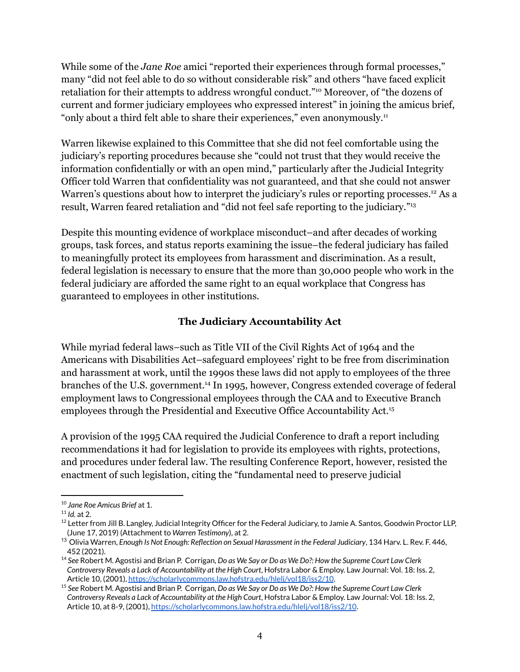While some of the *Jane Roe* amici "reported their experiences through formal processes," many "did not feel able to do so without considerable risk" and others "have faced explicit retaliation for their attempts to address wrongful conduct." <sup>10</sup> Moreover, of "the dozens of current and former judiciary employees who expressed interest" in joining the amicus brief, "only about a third felt able to share their experiences," even anonymously.<sup>11</sup>

Warren likewise explained to this Committee that she did not feel comfortable using the judiciary's reporting procedures because she "could not trust that they would receive the information confidentially or with an open mind," particularly after the Judicial Integrity Officer told Warren that confidentiality was not guaranteed, and that she could not answer Warren's questions about how to interpret the judiciary's rules or reporting processes.<sup>12</sup> As a result, Warren feared retaliation and "did not feel safe reporting to the judiciary."<sup>13</sup>

Despite this mounting evidence of workplace misconduct–and after decades of working groups, task forces, and status reports examining the issue–the federal judiciary has failed to meaningfully protect its employees from harassment and discrimination. As a result, federal legislation is necessary to ensure that the more than 30,000 people who work in the federal judiciary are afforded the same right to an equal workplace that Congress has guaranteed to employees in other institutions.

### **The Judiciary Accountability Act**

While myriad federal laws–such as Title VII of the Civil Rights Act of 1964 and the Americans with Disabilities Act–safeguard employees' right to be free from discrimination and harassment at work, until the 1990s these laws did not apply to employees of the three branches of the U.S. government. <sup>14</sup> In 1995, however, Congress extended coverage of federal employment laws to Congressional employees through the CAA and to Executive Branch employees through the Presidential and Executive Office Accountability Act. 15

A provision of the 1995 CAA required the Judicial Conference to draft a report including recommendations it had for legislation to provide its employees with rights, protections, and procedures under federal law. The resulting Conference Report, however, resisted the enactment of such legislation, citing the "fundamental need to preserve judicial

<sup>10</sup> *Jane Roe Amicus Brief* at 1.

<sup>11</sup> *Id.* at 2.

 $12$  Letter from Jill B. Langley, Judicial Integrity Officer for the Federal Judiciary, to Jamie A. Santos, Goodwin Proctor LLP, (June 17, 2019) (Attachment to *Warren Testimony*), at 2.

<sup>13</sup> Olivia Warren, *Enough Is Not Enough: Reflection on Sexual Harassment in the Federal Judiciary*, 134 Harv. L. Rev. F. 446, 452 (2021).

<sup>14</sup> *See* Robert M. Agostisi and Brian P. Corrigan, *Do as We Say or Do as We Do?: How the Supreme Court Law Clerk Controversy Reveals a Lack of Accountability at the High Court*, Hofstra Labor & Employ. Law Journal: Vol. 18: Iss. 2, Article 10, (2001), <https://scholarlycommons.law.hofstra.edu/hlelj/vol18/iss2/10>.

<sup>15</sup> *See* Robert M. Agostisi and Brian P. Corrigan, *Do as We Say or Do as We Do?: How the Supreme Court Law Clerk Controversy Reveals a Lack of Accountability at the High Court*, Hofstra Labor & Employ. Law Journal: Vol. 18: Iss. 2, Article 10, at 8-9, (2001), <https://scholarlycommons.law.hofstra.edu/hlelj/vol18/iss2/10>.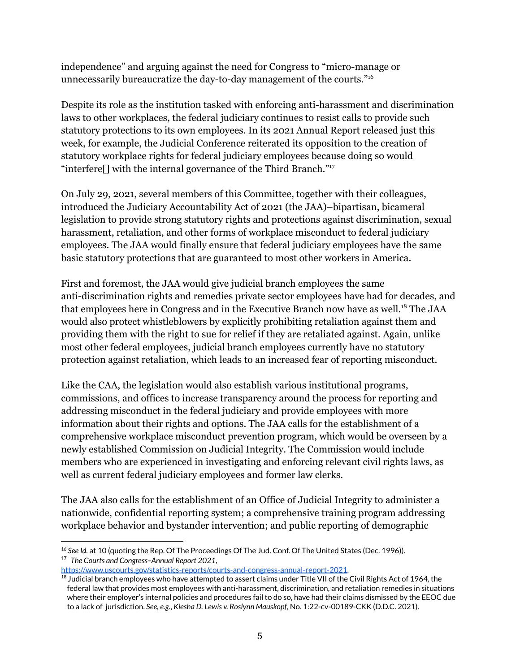independence" and arguing against the need for Congress to "micro-manage or unnecessarily bureaucratize the day-to-day management of the courts." 16

Despite its role as the institution tasked with enforcing anti-harassment and discrimination laws to other workplaces, the federal judiciary continues to resist calls to provide such statutory protections to its own employees. In its 2021 Annual Report released just this week, for example, the Judicial Conference reiterated its opposition to the creation of statutory workplace rights for federal judiciary employees because doing so would "interfere<sup>[]</sup> with the internal governance of the Third Branch."<sup>17</sup>

On July 29, 2021, several members of this Committee, together with their colleagues, introduced the Judiciary Accountability Act of 2021 (the JAA)–bipartisan, bicameral legislation to provide strong statutory rights and protections against discrimination, sexual harassment, retaliation, and other forms of workplace misconduct to federal judiciary employees. The JAA would finally ensure that federal judiciary employees have the same basic statutory protections that are guaranteed to most other workers in America.

First and foremost, the JAA would give judicial branch employees the same anti-discrimination rights and remedies private sector employees have had for decades, and that employees here in Congress and in the Executive Branch now have as well. <sup>18</sup> The JAA would also protect whistleblowers by explicitly prohibiting retaliation against them and providing them with the right to sue for relief if they are retaliated against. Again, unlike most other federal employees, judicial branch employees currently have no statutory protection against retaliation, which leads to an increased fear of reporting misconduct.

Like the CAA, the legislation would also establish various institutional programs, commissions, and offices to increase transparency around the process for reporting and addressing misconduct in the federal judiciary and provide employees with more information about their rights and options. The JAA calls for the establishment of a comprehensive workplace misconduct prevention program, which would be overseen by a newly established Commission on Judicial Integrity. The Commission would include members who are experienced in investigating and enforcing relevant civil rights laws, as well as current federal judiciary employees and former law clerks.

The JAA also calls for the establishment of an Office of Judicial Integrity to administer a nationwide, confidential reporting system; a comprehensive training program addressing workplace behavior and bystander intervention; and public reporting of demographic

<sup>17</sup> *The Courts and Congress–Annual Report 2021*, <sup>16</sup> See *Id.* at 10 (quoting the Rep. Of The Proceedings Of The Jud. Conf. Of The United States (Dec. 1996)).

<https://www.uscourts.gov/statistics-reports/courts-and-congress-annual-report-2021>.

<sup>&</sup>lt;sup>18</sup> Judicial branch employees who have attempted to assert claims under Title VII of the Civil Rights Act of 1964, the federal law that provides most employees with anti-harassment, discrimination, and retaliation remedies in situations where their employer's internal policies and procedures fail to do so, have had their claims dismissed by the EEOC due to a lack of jurisdiction. *See, e.g.*, *Kiesha D. Lewis v. Roslynn Mauskopf*, No. 1:22-cv-00189-CKK (D.D.C. 2021).